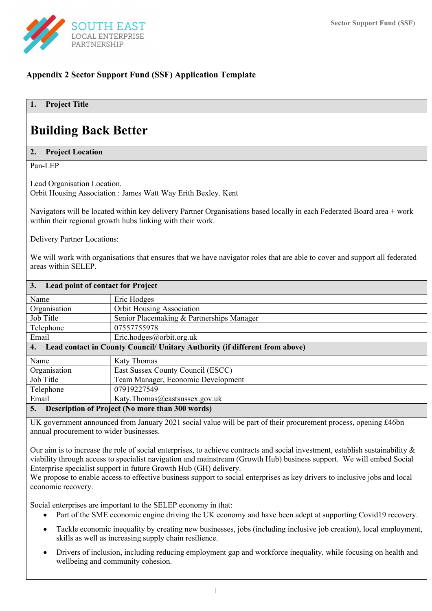

# Appendix 2 Sector Support Fund (SSF) Application Template

## 1. Project Title

# Building Back Better

#### 2. Project Location

Pan-LEP

Lead Organisation Location. Orbit Housing Association : James Watt Way Erith Bexley. Kent

Navigators will be located within key delivery Partner Organisations based locally in each Federated Board area + work within their regional growth hubs linking with their work.

Delivery Partner Locations:

We will work with organisations that ensures that we have navigator roles that are able to cover and support all federated areas within SELEP.

| 3.<br><b>Lead point of contact for Project</b> |                                                                             |
|------------------------------------------------|-----------------------------------------------------------------------------|
| Name                                           | Eric Hodges                                                                 |
| Organisation                                   | <b>Orbit Housing Association</b>                                            |
| Job Title                                      | Senior Placemaking & Partnerships Manager                                   |
| Telephone                                      | 07557755978                                                                 |
| Email                                          | Eric.hodges@orbit.org.uk                                                    |
| 4.                                             | Lead contact in County Council/ Unitary Authority (if different from above) |
| Name                                           | <b>Katy Thomas</b>                                                          |
| Organisation                                   | East Sussex County Council (ESCC)                                           |
| Job Title                                      | Team Manager, Economic Development                                          |
| Telephone                                      | 07919227549                                                                 |
| Email                                          | Katy.Thomas@eastsussex.gov.uk                                               |
| 5.                                             | <b>Description of Project (No more than 300 words)</b>                      |

UK government announced from January 2021 social value will be part of their procurement process, opening £46bn annual procurement to wider businesses.

Our aim is to increase the role of social enterprises, to achieve contracts and social investment, establish sustainability  $\&$ viability through access to specialist navigation and mainstream (Growth Hub) business support. We will embed Social Enterprise specialist support in future Growth Hub (GH) delivery.

We propose to enable access to effective business support to social enterprises as key drivers to inclusive jobs and local economic recovery.

Social enterprises are important to the SELEP economy in that:

- Part of the SME economic engine driving the UK economy and have been adept at supporting Covid19 recovery.
- Tackle economic inequality by creating new businesses, jobs (including inclusive job creation), local employment, skills as well as increasing supply chain resilience.
- Drivers of inclusion, including reducing employment gap and workforce inequality, while focusing on health and wellbeing and community cohesion.

1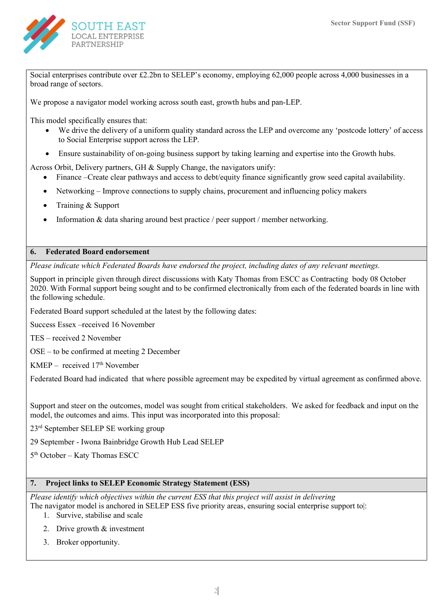

Social enterprises contribute over £2.2bn to SELEP's economy, employing 62,000 people across 4,000 businesses in a broad range of sectors.

We propose a navigator model working across south east, growth hubs and pan-LEP.

This model specifically ensures that:

- We drive the delivery of a uniform quality standard across the LEP and overcome any 'postcode lottery' of access to Social Enterprise support across the LEP.
- Ensure sustainability of on-going business support by taking learning and expertise into the Growth hubs.

Across Orbit, Delivery partners, GH & Supply Change, the navigators unify:

- Finance –Create clear pathways and access to debt/equity finance significantly grow seed capital availability.
- Networking Improve connections to supply chains, procurement and influencing policy makers
- Training & Support
- Information & data sharing around best practice / peer support / member networking.

### 6. Federated Board endorsement

Please indicate which Federated Boards have endorsed the project, including dates of any relevant meetings.

Support in principle given through direct discussions with Katy Thomas from ESCC as Contracting body 08 October 2020. With Formal support being sought and to be confirmed electronically from each of the federated boards in line with the following schedule.

Federated Board support scheduled at the latest by the following dates:

Success Essex –received 16 November

TES – received 2 November

OSE – to be confirmed at meeting 2 December

 $KMEP - received 17<sup>th</sup> November$ 

Federated Board had indicated that where possible agreement may be expedited by virtual agreement as confirmed above.

Support and steer on the outcomes, model was sought from critical stakeholders. We asked for feedback and input on the model, the outcomes and aims. This input was incorporated into this proposal:

23rd September SELEP SE working group

29 September - Iwona Bainbridge Growth Hub Lead SELEP

5 th October – Katy Thomas ESCC

#### 7. Project links to SELEP Economic Strategy Statement (ESS)

Please identify which objectives within the current ESS that this project will assist in delivering The navigator model is anchored in SELEP ESS five priority areas, ensuring social enterprise support to|:

- 1. Survive, stabilise and scale
- 2. Drive growth & investment
- 3. Broker opportunity.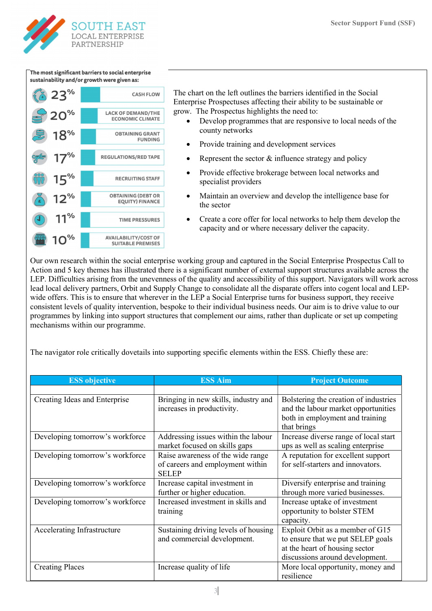

The most significant barriers to social enterprise sustainability and/or growth were given as:



The chart on the left outlines the barriers identified in the Social Enterprise Prospectuses affecting their ability to be sustainable or grow. The Prospectus highlights the need to:

- Develop programmes that are responsive to local needs of the county networks
- Provide training and development services
- Represent the sector & influence strategy and policy
- Provide effective brokerage between local networks and specialist providers
- Maintain an overview and develop the intelligence base for the sector
- Create a core offer for local networks to help them develop the capacity and or where necessary deliver the capacity.

Our own research within the social enterprise working group and captured in the Social Enterprise Prospectus Call to Action and 5 key themes has illustrated there is a significant number of external support structures available across the LEP. Difficulties arising from the unevenness of the quality and accessibility of this support. Navigators will work across lead local delivery partners, Orbit and Supply Change to consolidate all the disparate offers into cogent local and LEPwide offers. This is to ensure that wherever in the LEP a Social Enterprise turns for business support, they receive consistent levels of quality intervention, bespoke to their individual business needs. Our aim is to drive value to our programmes by linking into support structures that complement our aims, rather than duplicate or set up competing mechanisms within our programme.

The navigator role critically dovetails into supporting specific elements within the ESS. Chiefly these are:

| <b>ESS</b> objective            | <b>ESS Aim</b>                                                                        | <b>Project Outcome</b>                                                                                                                     |
|---------------------------------|---------------------------------------------------------------------------------------|--------------------------------------------------------------------------------------------------------------------------------------------|
|                                 |                                                                                       |                                                                                                                                            |
| Creating Ideas and Enterprise   | Bringing in new skills, industry and<br>increases in productivity.                    | Bolstering the creation of industries<br>and the labour market opportunities<br>both in employment and training<br>that brings             |
| Developing tomorrow's workforce | Addressing issues within the labour<br>market focused on skills gaps                  | Increase diverse range of local start<br>ups as well as scaling enterprise                                                                 |
| Developing tomorrow's workforce | Raise awareness of the wide range<br>of careers and employment within<br><b>SELEP</b> | A reputation for excellent support<br>for self-starters and innovators.                                                                    |
| Developing tomorrow's workforce | Increase capital investment in<br>further or higher education.                        | Diversify enterprise and training<br>through more varied businesses.                                                                       |
| Developing tomorrow's workforce | Increased investment in skills and<br>training                                        | Increase uptake of investment<br>opportunity to bolster STEM<br>capacity.                                                                  |
| Accelerating Infrastructure     | Sustaining driving levels of housing<br>and commercial development.                   | Exploit Orbit as a member of G15<br>to ensure that we put SELEP goals<br>at the heart of housing sector<br>discussions around development. |
| <b>Creating Places</b>          | Increase quality of life                                                              | More local opportunity, money and<br>resilience                                                                                            |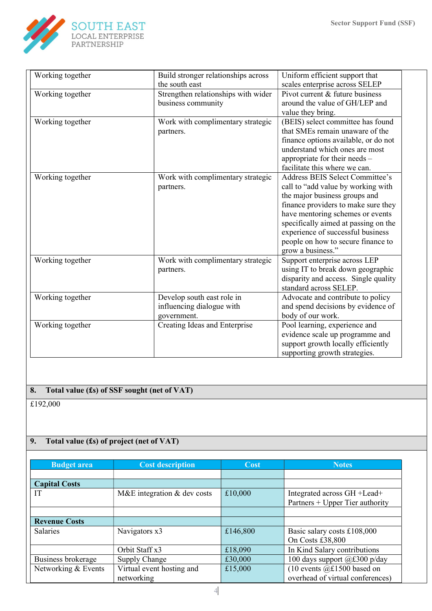

| Working together | Build stronger relationships across | Uniform efficient support that         |
|------------------|-------------------------------------|----------------------------------------|
|                  | the south east                      | scales enterprise across SELEP         |
| Working together | Strengthen relationships with wider | Pivot current & future business        |
|                  | business community                  | around the value of GH/LEP and         |
|                  |                                     | value they bring.                      |
| Working together | Work with complimentary strategic   | (BEIS) select committee has found      |
|                  | partners.                           | that SMEs remain unaware of the        |
|                  |                                     | finance options available, or do not   |
|                  |                                     | understand which ones are most         |
|                  |                                     | appropriate for their needs $-$        |
|                  |                                     | facilitate this where we can.          |
| Working together | Work with complimentary strategic   | <b>Address BEIS Select Committee's</b> |
|                  | partners.                           | call to "add value by working with     |
|                  |                                     | the major business groups and          |
|                  |                                     | finance providers to make sure they    |
|                  |                                     | have mentoring schemes or events       |
|                  |                                     | specifically aimed at passing on the   |
|                  |                                     | experience of successful business      |
|                  |                                     | people on how to secure finance to     |
|                  |                                     | grow a business."                      |
| Working together | Work with complimentary strategic   | Support enterprise across LEP          |
|                  | partners.                           | using IT to break down geographic      |
|                  |                                     | disparity and access. Single quality   |
|                  |                                     | standard across SELEP.                 |
| Working together | Develop south east role in          | Advocate and contribute to policy      |
|                  | influencing dialogue with           | and spend decisions by evidence of     |
|                  | government.                         | body of our work.                      |
| Working together | Creating Ideas and Enterprise       | Pool learning, experience and          |
|                  |                                     | evidence scale up programme and        |
|                  |                                     | support growth locally efficiently     |
|                  |                                     | supporting growth strategies.          |

# 8. Total value (£s) of SSF sought (net of VAT)

£192,000

# 9. Total value (£s) of project (net of VAT)

| <b>Budget area</b>   | <b>Cost description</b>       | Cost     | <b>Notes</b>                     |
|----------------------|-------------------------------|----------|----------------------------------|
|                      |                               |          |                                  |
| <b>Capital Costs</b> |                               |          |                                  |
| IT                   | M&E integration $&$ dev costs | £10,000  | Integrated across GH + Lead +    |
|                      |                               |          | Partners + Upper Tier authority  |
|                      |                               |          |                                  |
| <b>Revenue Costs</b> |                               |          |                                  |
| <b>Salaries</b>      | Navigators x3                 | £146,800 | Basic salary costs £108,000      |
|                      |                               |          | On Costs £38,800                 |
|                      | Orbit Staff x3                | £18,090  | In Kind Salary contributions     |
| Business brokerage   | Supply Change                 | £30,000  | 100 days support @£300 p/day     |
| Networking & Events  | Virtual event hosting and     | £15,000  | (10 events $@£1500$ based on     |
|                      | networking                    |          | overhead of virtual conferences) |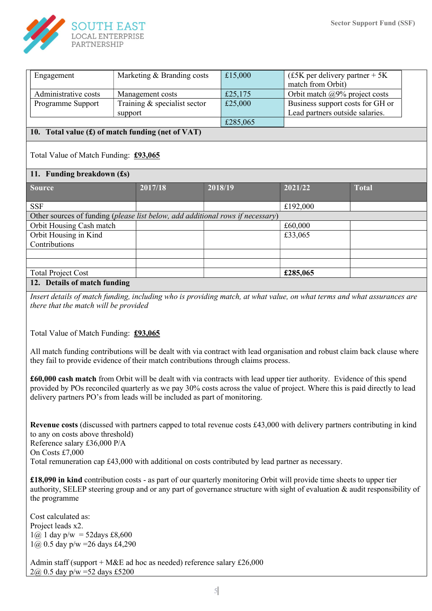

| Engagement                                          | Marketing & Branding costs   | £15,000 | $f_{\rm E}$ (£5K per delivery partner + 5K) |  |
|-----------------------------------------------------|------------------------------|---------|---------------------------------------------|--|
|                                                     |                              |         | match from Orbit)                           |  |
| Administrative costs                                | Management costs             | £25,175 | Orbit match $\omega$ 9% project costs       |  |
| Programme Support                                   | Training & specialist sector | £25,000 | Business support costs for GH or            |  |
|                                                     | support                      |         | Lead partners outside salaries.             |  |
| £285,065                                            |                              |         |                                             |  |
| 10. Total value $(f)$ of match funding (net of VAT) |                              |         |                                             |  |

## Total Value of Match Funding: £93,065

#### 11. Funding breakdown (£s)

| Source                                                                         | 2017/18 | 2018/19 | 2021/22  | <b>Total</b> |
|--------------------------------------------------------------------------------|---------|---------|----------|--------------|
|                                                                                |         |         |          |              |
|                                                                                |         |         |          |              |
| <b>SSF</b>                                                                     |         |         | £192,000 |              |
|                                                                                |         |         |          |              |
| Other sources of funding (please list below, add additional rows if necessary) |         |         |          |              |
| Orbit Housing Cash match                                                       |         |         | £60,000  |              |
|                                                                                |         |         |          |              |
| Orbit Housing in Kind                                                          |         |         | £33,065  |              |
| Contributions                                                                  |         |         |          |              |
|                                                                                |         |         |          |              |
|                                                                                |         |         |          |              |
|                                                                                |         |         |          |              |
| <b>Total Project Cost</b>                                                      |         |         | £285,065 |              |
|                                                                                |         |         |          |              |
| 12. Details of match funding                                                   |         |         |          |              |

Insert details of match funding, including who is providing match, at what value, on what terms and what assurances are there that the match will be provided

Total Value of Match Funding: £93,065

All match funding contributions will be dealt with via contract with lead organisation and robust claim back clause where they fail to provide evidence of their match contributions through claims process.

£60,000 cash match from Orbit will be dealt with via contracts with lead upper tier authority. Evidence of this spend provided by POs reconciled quarterly as we pay 30% costs across the value of project. Where this is paid directly to lead delivery partners PO's from leads will be included as part of monitoring.

Revenue costs (discussed with partners capped to total revenue costs £43,000 with delivery partners contributing in kind to any on costs above threshold) Reference salary £36,000 P/A On Costs £7,000 Total remuneration cap £43,000 with additional on costs contributed by lead partner as necessary.

£18,090 in kind contribution costs - as part of our quarterly monitoring Orbit will provide time sheets to upper tier authority, SELEP steering group and or any part of governance structure with sight of evaluation & audit responsibility of the programme

Cost calculated as: Project leads x2.  $1(\hat{\omega})$  1 day p/w = 52 days £8,600  $1\omega$ , 0.5 day p/w = 26 days £4,290

Admin staff (support + M&E ad hoc as needed) reference salary £26,000 2@ 0.5 day p/w =52 days £5200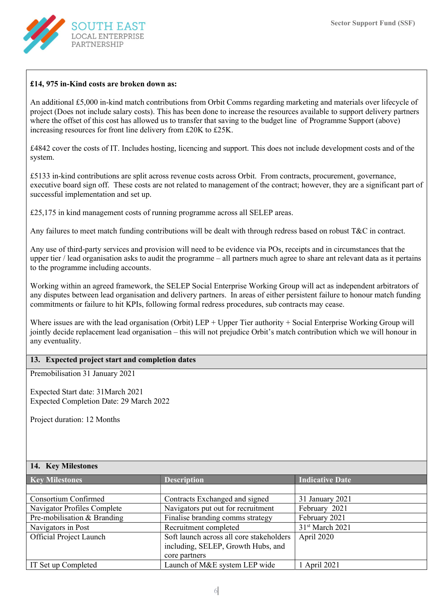

#### £14, 975 in-Kind costs are broken down as:

An additional £5,000 in-kind match contributions from Orbit Comms regarding marketing and materials over lifecycle of project (Does not include salary costs). This has been done to increase the resources available to support delivery partners where the offset of this cost has allowed us to transfer that saving to the budget line of Programme Support (above) increasing resources for front line delivery from £20K to £25K.

£4842 cover the costs of IT. Includes hosting, licencing and support. This does not include development costs and of the system.

£5133 in-kind contributions are split across revenue costs across Orbit. From contracts, procurement, governance, executive board sign off. These costs are not related to management of the contract; however, they are a significant part of successful implementation and set up.

£25,175 in kind management costs of running programme across all SELEP areas.

Any failures to meet match funding contributions will be dealt with through redress based on robust T&C in contract.

Any use of third-party services and provision will need to be evidence via POs, receipts and in circumstances that the upper tier / lead organisation asks to audit the programme – all partners much agree to share ant relevant data as it pertains to the programme including accounts.

Working within an agreed framework, the SELEP Social Enterprise Working Group will act as independent arbitrators of any disputes between lead organisation and delivery partners. In areas of either persistent failure to honour match funding commitments or failure to hit KPIs, following formal redress procedures, sub contracts may cease.

Where issues are with the lead organisation (Orbit) LEP + Upper Tier authority + Social Enterprise Working Group will jointly decide replacement lead organisation – this will not prejudice Orbit's match contribution which we will honour in any eventuality.

## 13. Expected project start and completion dates

Premobilisation 31 January 2021

Expected Start date: 31March 2021 Expected Completion Date: 29 March 2022

Project duration: 12 Months

#### 14. Key Milestones

| <b>Key Milestones</b>          | <b>Description</b>                       | <b>Indicative Date</b>      |
|--------------------------------|------------------------------------------|-----------------------------|
|                                |                                          |                             |
| <b>Consortium Confirmed</b>    | Contracts Exchanged and signed           | 31 January 2021             |
| Navigator Profiles Complete    | Navigators put out for recruitment       | February 2021               |
| Pre-mobilisation & Branding    | Finalise branding comms strategy         | February 2021               |
| Navigators in Post             | Recruitment completed                    | 31 <sup>st</sup> March 2021 |
| <b>Official Project Launch</b> | Soft launch across all core stakeholders | April 2020                  |
|                                | including, SELEP, Growth Hubs, and       |                             |
|                                | core partners                            |                             |
| IT Set up Completed            | Launch of M&E system LEP wide            | 1 April 2021                |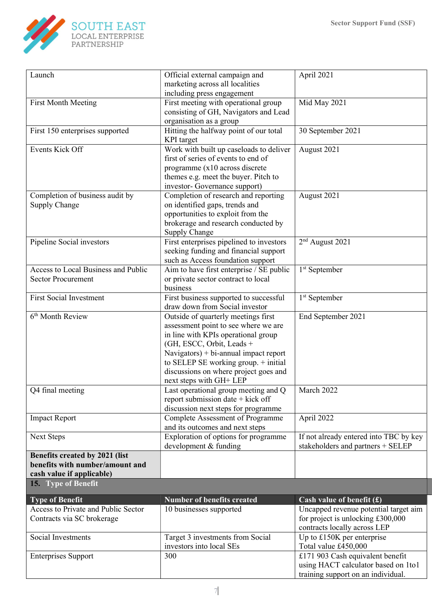

| Launch                              | Official external campaign and                                                 | April 2021                             |
|-------------------------------------|--------------------------------------------------------------------------------|----------------------------------------|
|                                     | marketing across all localities                                                |                                        |
|                                     | including press engagement                                                     |                                        |
| <b>First Month Meeting</b>          | First meeting with operational group                                           | Mid May 2021                           |
|                                     | consisting of GH, Navigators and Lead                                          |                                        |
|                                     | organisation as a group                                                        |                                        |
| First 150 enterprises supported     | Hitting the halfway point of our total                                         | 30 September 2021                      |
|                                     | <b>KPI</b> target                                                              |                                        |
| Events Kick Off                     | Work with built up caseloads to deliver                                        | August 2021                            |
|                                     | first of series of events to end of                                            |                                        |
|                                     | programme (x10 across discrete                                                 |                                        |
|                                     | themes e.g. meet the buyer. Pitch to                                           |                                        |
|                                     | investor- Governance support)                                                  |                                        |
| Completion of business audit by     | Completion of research and reporting                                           | August 2021                            |
| Supply Change                       | on identified gaps, trends and                                                 |                                        |
|                                     | opportunities to exploit from the                                              |                                        |
|                                     | brokerage and research conducted by                                            |                                        |
|                                     | Supply Change                                                                  |                                        |
| Pipeline Social investors           | First enterprises pipelined to investors                                       | 2 <sup>nd</sup> August 2021            |
|                                     | seeking funding and financial support                                          |                                        |
|                                     | such as Access foundation support                                              |                                        |
| Access to Local Business and Public | Aim to have first enterprise / SE public                                       | 1 <sup>st</sup> September              |
| <b>Sector Procurement</b>           | or private sector contract to local                                            |                                        |
|                                     | business                                                                       |                                        |
| <b>First Social Investment</b>      | First business supported to successful                                         | 1 <sup>st</sup> September              |
|                                     | draw down from Social investor                                                 |                                        |
| 6 <sup>th</sup> Month Review        | Outside of quarterly meetings first                                            | End September 2021                     |
|                                     | assessment point to see where we are                                           |                                        |
|                                     | in line with KPIs operational group                                            |                                        |
|                                     | (GH, ESCC, Orbit, Leads +                                                      |                                        |
|                                     | Navigators) + $bi$ -annual impact report                                       |                                        |
|                                     | to SELEP SE working group. $+$ initial                                         |                                        |
|                                     | discussions on where project goes and                                          |                                        |
|                                     | next steps with GH+ LEP                                                        |                                        |
| Q4 final meeting                    | Last operational group meeting and Q                                           | March 2022                             |
|                                     | report submission date + kick off                                              |                                        |
| <b>Impact Report</b>                | discussion next steps for programme<br><b>Complete Assessment of Programme</b> | April 2022                             |
|                                     | and its outcomes and next steps                                                |                                        |
| <b>Next Steps</b>                   | Exploration of options for programme                                           | If not already entered into TBC by key |
|                                     | development & funding                                                          | stakeholders and partners + SELEP      |
| Benefits created by 2021 (list      |                                                                                |                                        |
| benefits with number/amount and     |                                                                                |                                        |
| cash value if applicable)           |                                                                                |                                        |
| 15. Type of Benefit                 |                                                                                |                                        |
| <b>Type of Benefit</b>              | <b>Number of benefits created</b>                                              | Cash value of benefit $(f)$            |
| Access to Private and Public Sector | 10 businesses supported                                                        | Uncapped revenue potential target aim  |
| Contracts via SC brokerage          |                                                                                | for project is unlocking $£300,000$    |
|                                     |                                                                                | contracts locally across LEP           |
| Social Investments                  | Target 3 investments from Social                                               | Up to $£150K$ per enterprise           |
|                                     | investors into local SEs                                                       | Total value £450,000                   |
| <b>Enterprises Support</b>          | 300                                                                            | £171 903 Cash equivalent benefit       |
|                                     |                                                                                | using HACT calculator based on 1to1    |
|                                     |                                                                                | training support on an individual.     |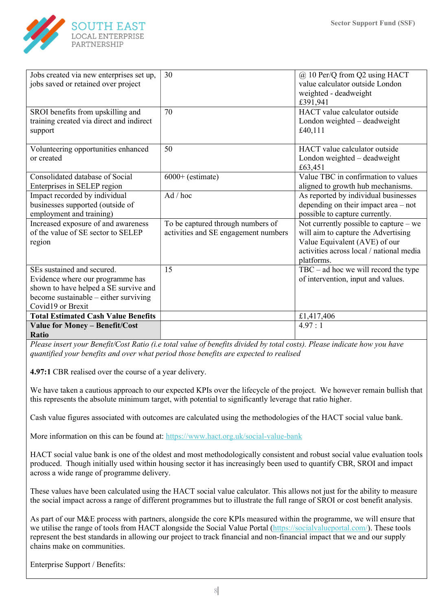

| Jobs created via new enterprises set up,   | 30                                   | @ 10 Per/Q from Q2 using HACT            |
|--------------------------------------------|--------------------------------------|------------------------------------------|
|                                            |                                      | value calculator outside London          |
| jobs saved or retained over project        |                                      |                                          |
|                                            |                                      | weighted - deadweight                    |
|                                            |                                      | £391,941                                 |
| SROI benefits from upskilling and          | 70                                   | HACT value calculator outside            |
| training created via direct and indirect   |                                      | London weighted - deadweight             |
| support                                    |                                      | £40,111                                  |
|                                            |                                      |                                          |
| Volunteering opportunities enhanced        | 50                                   | HACT value calculator outside            |
| or created                                 |                                      | London weighted - deadweight             |
|                                            |                                      | £63,451                                  |
| Consolidated database of Social            | $6000+$ (estimate)                   | Value TBC in confirmation to values      |
| Enterprises in SELEP region                |                                      | aligned to growth hub mechanisms.        |
| Impact recorded by individual              | $Ad /$ hoc                           | As reported by individual businesses     |
| businesses supported (outside of           |                                      | depending on their impact area - not     |
| employment and training)                   |                                      | possible to capture currently.           |
| Increased exposure of and awareness        | To be captured through numbers of    | Not currently possible to capture - we   |
| of the value of SE sector to SELEP         | activities and SE engagement numbers | will aim to capture the Advertising      |
| region                                     |                                      | Value Equivalent (AVE) of our            |
|                                            |                                      | activities across local / national media |
|                                            |                                      | platforms.                               |
| SEs sustained and secured.                 | 15                                   | $TBC - ad hoc$ we will record the type   |
| Evidence where our programme has           |                                      | of intervention, input and values.       |
| shown to have helped a SE survive and      |                                      |                                          |
| become sustainable – either surviving      |                                      |                                          |
| Covid19 or Brexit                          |                                      |                                          |
| <b>Total Estimated Cash Value Benefits</b> |                                      | £1,417,406                               |
| <b>Value for Money - Benefit/Cost</b>      |                                      | 4.97:1                                   |
| Ratio                                      |                                      |                                          |

Please insert your Benefit/Cost Ratio (i.e total value of benefits divided by total costs). Please indicate how you have quantified your benefits and over what period those benefits are expected to realised

4.97:1 CBR realised over the course of a year delivery.

We have taken a cautious approach to our expected KPIs over the lifecycle of the project. We however remain bullish that this represents the absolute minimum target, with potential to significantly leverage that ratio higher.

Cash value figures associated with outcomes are calculated using the methodologies of the HACT social value bank.

More information on this can be found at: https://www.hact.org.uk/social-value-bank

HACT social value bank is one of the oldest and most methodologically consistent and robust social value evaluation tools produced. Though initially used within housing sector it has increasingly been used to quantify CBR, SROI and impact across a wide range of programme delivery.

These values have been calculated using the HACT social value calculator. This allows not just for the ability to measure the social impact across a range of different programmes but to illustrate the full range of SROI or cost benefit analysis.

As part of our M&E process with partners, alongside the core KPIs measured within the programme, we will ensure that we utilise the range of tools from HACT alongside the Social Value Portal (https://socialvalueportal.com/). These tools represent the best standards in allowing our project to track financial and non-financial impact that we and our supply chains make on communities.

Enterprise Support / Benefits: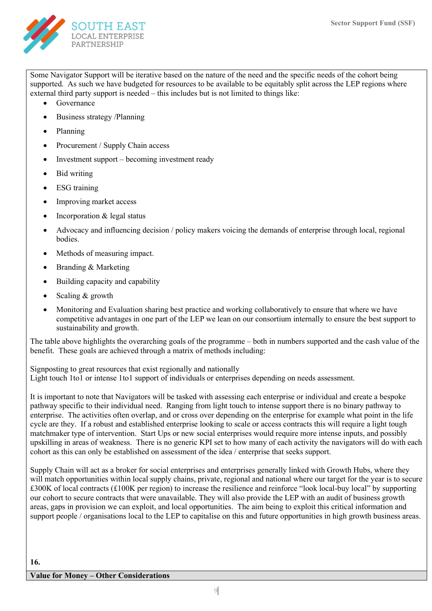

Some Navigator Support will be iterative based on the nature of the need and the specific needs of the cohort being supported. As such we have budgeted for resources to be available to be equitably split across the LEP regions where external third party support is needed – this includes but is not limited to things like:

- Governance
- Business strategy /Planning
- Planning
- Procurement / Supply Chain access
- Investment support becoming investment ready
- Bid writing
- ESG training
- Improving market access
- Incorporation & legal status
- Advocacy and influencing decision / policy makers voicing the demands of enterprise through local, regional bodies.
- Methods of measuring impact.
- Branding & Marketing
- Building capacity and capability
- Scaling  $&$  growth
- Monitoring and Evaluation sharing best practice and working collaboratively to ensure that where we have competitive advantages in one part of the LEP we lean on our consortium internally to ensure the best support to sustainability and growth.

The table above highlights the overarching goals of the programme – both in numbers supported and the cash value of the benefit. These goals are achieved through a matrix of methods including:

Signposting to great resources that exist regionally and nationally Light touch 1to1 or intense 1to1 support of individuals or enterprises depending on needs assessment.

It is important to note that Navigators will be tasked with assessing each enterprise or individual and create a bespoke pathway specific to their individual need. Ranging from light touch to intense support there is no binary pathway to enterprise. The activities often overlap, and or cross over depending on the enterprise for example what point in the life cycle are they. If a robust and established enterprise looking to scale or access contracts this will require a light tough matchmaker type of intervention. Start Ups or new social enterprises would require more intense inputs, and possibly upskilling in areas of weakness. There is no generic KPI set to how many of each activity the navigators will do with each cohort as this can only be established on assessment of the idea / enterprise that seeks support.

Supply Chain will act as a broker for social enterprises and enterprises generally linked with Growth Hubs, where they will match opportunities within local supply chains, private, regional and national where our target for the year is to secure £300K of local contracts (£100K per region) to increase the resilience and reinforce "look local-buy local" by supporting our cohort to secure contracts that were unavailable. They will also provide the LEP with an audit of business growth areas, gaps in provision we can exploit, and local opportunities. The aim being to exploit this critical information and support people / organisations local to the LEP to capitalise on this and future opportunities in high growth business areas.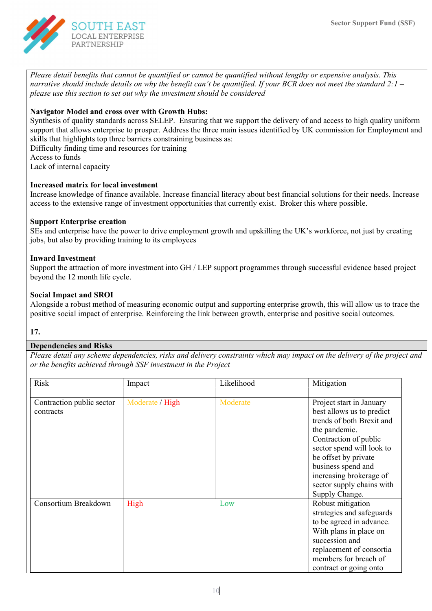

Please detail benefits that cannot be quantified or cannot be quantified without lengthy or expensive analysis. This narrative should include details on why the benefit can't be quantified. If your BCR does not meet the standard  $2:1$  – please use this section to set out why the investment should be considered

## Navigator Model and cross over with Growth Hubs:

Synthesis of quality standards across SELEP. Ensuring that we support the delivery of and access to high quality uniform support that allows enterprise to prosper. Address the three main issues identified by UK commission for Employment and skills that highlights top three barriers constraining business as:

Difficulty finding time and resources for training

Access to funds

Lack of internal capacity

#### Increased matrix for local investment

Increase knowledge of finance available. Increase financial literacy about best financial solutions for their needs. Increase access to the extensive range of investment opportunities that currently exist. Broker this where possible.

#### Support Enterprise creation

SEs and enterprise have the power to drive employment growth and upskilling the UK's workforce, not just by creating jobs, but also by providing training to its employees

#### Inward Investment

Support the attraction of more investment into GH / LEP support programmes through successful evidence based project beyond the 12 month life cycle.

#### Social Impact and SROI

Alongside a robust method of measuring economic output and supporting enterprise growth, this will allow us to trace the positive social impact of enterprise. Reinforcing the link between growth, enterprise and positive social outcomes.

#### 17.

## Dependencies and Risks

Please detail any scheme dependencies, risks and delivery constraints which may impact on the delivery of the project and or the benefits achieved through SSF investment in the Project

| Risk                      | Impact          | Likelihood | Mitigation                |
|---------------------------|-----------------|------------|---------------------------|
|                           |                 |            |                           |
| Contraction public sector | Moderate / High | Moderate   | Project start in January  |
| contracts                 |                 |            | best allows us to predict |
|                           |                 |            | trends of both Brexit and |
|                           |                 |            | the pandemic.             |
|                           |                 |            | Contraction of public     |
|                           |                 |            | sector spend will look to |
|                           |                 |            | be offset by private      |
|                           |                 |            | business spend and        |
|                           |                 |            | increasing brokerage of   |
|                           |                 |            | sector supply chains with |
|                           |                 |            | Supply Change.            |
| Consortium Breakdown      | High            | Low        | Robust mitigation         |
|                           |                 |            | strategies and safeguards |
|                           |                 |            | to be agreed in advance.  |
|                           |                 |            | With plans in place on    |
|                           |                 |            | succession and            |
|                           |                 |            | replacement of consortia  |
|                           |                 |            | members for breach of     |
|                           |                 |            | contract or going onto    |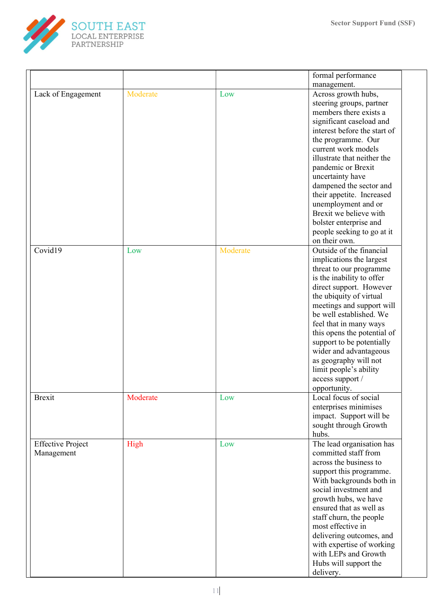

|                                        |          |          | formal performance                                                                                                                                                                                                                                                                                                                                                                                                                |
|----------------------------------------|----------|----------|-----------------------------------------------------------------------------------------------------------------------------------------------------------------------------------------------------------------------------------------------------------------------------------------------------------------------------------------------------------------------------------------------------------------------------------|
|                                        |          |          | management.                                                                                                                                                                                                                                                                                                                                                                                                                       |
| Lack of Engagement                     | Moderate | Low      | Across growth hubs,<br>steering groups, partner<br>members there exists a<br>significant caseload and<br>interest before the start of<br>the programme. Our<br>current work models<br>illustrate that neither the<br>pandemic or Brexit<br>uncertainty have<br>dampened the sector and<br>their appetite. Increased<br>unemployment and or<br>Brexit we believe with                                                              |
|                                        |          |          | bolster enterprise and<br>people seeking to go at it<br>on their own.                                                                                                                                                                                                                                                                                                                                                             |
| Covid19                                | Low      | Moderate | Outside of the financial<br>implications the largest<br>threat to our programme<br>is the inability to offer<br>direct support. However<br>the ubiquity of virtual<br>meetings and support will<br>be well established. We<br>feel that in many ways<br>this opens the potential of<br>support to be potentially<br>wider and advantageous<br>as geography will not<br>limit people's ability<br>access support /<br>opportunity. |
| <b>Brexit</b>                          | Moderate | Low      | Local focus of social<br>enterprises minimises<br>impact. Support will be<br>sought through Growth<br>hubs.                                                                                                                                                                                                                                                                                                                       |
| <b>Effective Project</b><br>Management | High     | Low      | The lead organisation has<br>committed staff from<br>across the business to<br>support this programme.<br>With backgrounds both in<br>social investment and<br>growth hubs, we have<br>ensured that as well as<br>staff churn, the people<br>most effective in<br>delivering outcomes, and<br>with expertise of working<br>with LEPs and Growth<br>Hubs will support the<br>delivery.                                             |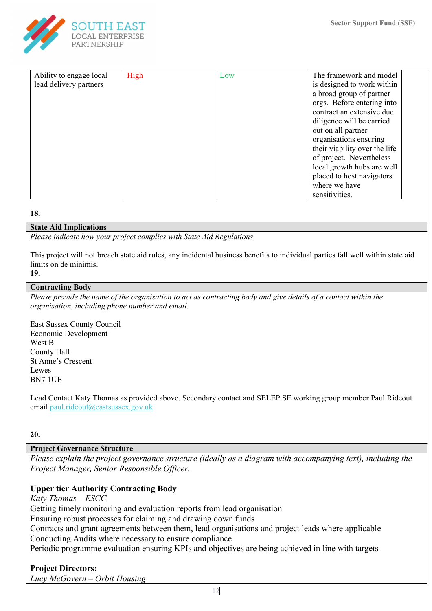

| Ability to engage local | High | Low | The framework and model       |
|-------------------------|------|-----|-------------------------------|
| lead delivery partners  |      |     | is designed to work within    |
|                         |      |     | a broad group of partner      |
|                         |      |     | orgs. Before entering into    |
|                         |      |     | contract an extensive due     |
|                         |      |     | diligence will be carried     |
|                         |      |     | out on all partner            |
|                         |      |     | organisations ensuring        |
|                         |      |     | their viability over the life |
|                         |      |     | of project. Nevertheless      |
|                         |      |     | local growth hubs are well    |
|                         |      |     | placed to host navigators     |
|                         |      |     | where we have                 |
|                         |      |     | sensitivities.                |

#### 18.

#### State Aid Implications

Please indicate how your project complies with State Aid Regulations

This project will not breach state aid rules, any incidental business benefits to individual parties fall well within state aid limits on de minimis.

## 19.

#### Contracting Body

Please provide the name of the organisation to act as contracting body and give details of a contact within the organisation, including phone number and email.

East Sussex County Council Economic Development West B County Hall St Anne's Crescent Lewes BN7 1UE

Lead Contact Katy Thomas as provided above. Secondary contact and SELEP SE working group member Paul Rideout email paul.rideout@eastsussex.gov.uk

20.

## Project Governance Structure

Please explain the project governance structure (ideally as a diagram with accompanying text), including the Project Manager, Senior Responsible Officer.

# Upper tier Authority Contracting Body

Katy Thomas – ESCC

Getting timely monitoring and evaluation reports from lead organisation

Ensuring robust processes for claiming and drawing down funds

Contracts and grant agreements between them, lead organisations and project leads where applicable Conducting Audits where necessary to ensure compliance

Periodic programme evaluation ensuring KPIs and objectives are being achieved in line with targets

# Project Directors:

Lucy McGovern – Orbit Housing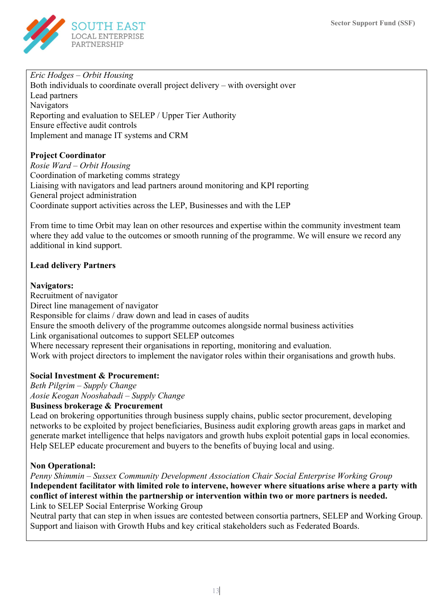

# Eric Hodges – Orbit Housing

Both individuals to coordinate overall project delivery – with oversight over Lead partners Navigators Reporting and evaluation to SELEP / Upper Tier Authority Ensure effective audit controls Implement and manage IT systems and CRM

# Project Coordinator

Rosie Ward – Orbit Housing Coordination of marketing comms strategy Liaising with navigators and lead partners around monitoring and KPI reporting General project administration Coordinate support activities across the LEP, Businesses and with the LEP

From time to time Orbit may lean on other resources and expertise within the community investment team where they add value to the outcomes or smooth running of the programme. We will ensure we record any additional in kind support.

# Lead delivery Partners

# Navigators:

Recruitment of navigator Direct line management of navigator Responsible for claims / draw down and lead in cases of audits Ensure the smooth delivery of the programme outcomes alongside normal business activities Link organisational outcomes to support SELEP outcomes Where necessary represent their organisations in reporting, monitoring and evaluation. Work with project directors to implement the navigator roles within their organisations and growth hubs.

# Social Investment & Procurement:

Beth Pilgrim – Supply Change Aosie Keogan Nooshabadi – Supply Change

## Business brokerage & Procurement

Lead on brokering opportunities through business supply chains, public sector procurement, developing networks to be exploited by project beneficiaries, Business audit exploring growth areas gaps in market and generate market intelligence that helps navigators and growth hubs exploit potential gaps in local economies. Help SELEP educate procurement and buyers to the benefits of buying local and using.

## Non Operational:

Penny Shimmin – Sussex Community Development Association Chair Social Enterprise Working Group Independent facilitator with limited role to intervene, however where situations arise where a party with conflict of interest within the partnership or intervention within two or more partners is needed. Link to SELEP Social Enterprise Working Group

Neutral party that can step in when issues are contested between consortia partners, SELEP and Working Group. Support and liaison with Growth Hubs and key critical stakeholders such as Federated Boards.